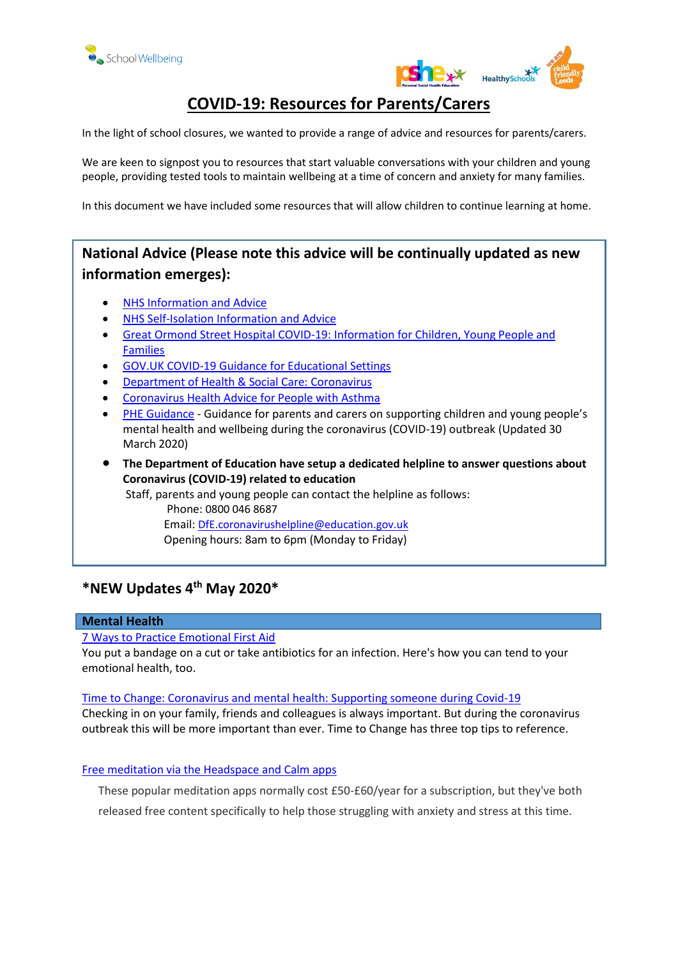



# **COVID-19: Resources for Parents/Carers**

In the light of school closures, we wanted to provide a range of advice and resources for parents/carers.

We are keen to signpost you to resources that start valuable conversations with your children and young people, providing tested tools to maintain wellbeing at a time of concern and anxiety for many families.

In this document we have included some resources that will allow children to continue learning at home.

# **National Advice (Please note this advice will be continually updated as new information emerges):**

- [NHS Information and Advice](https://www.nhs.uk/conditions/coronavirus-covid-19/)
- [NHS Self-Isolation Information and Advice](https://www.nhs.uk/conditions/coronavirus-covid-19/self-isolation-advice/)
- [Great Ormond Street Hospital COVID-19: Information for Children, Young People and](https://www.gosh.nhs.uk/news/coronavirus-covid-19-information-children-young-people-and-families)  [Families](https://www.gosh.nhs.uk/news/coronavirus-covid-19-information-children-young-people-and-families)
- [GOV.UK COVID-19 Guidance for Educational Settings](https://www.gov.uk/government/publications/guidance-to-educational-settings-about-covid-19)
- [Department of Health & Social Care: Coronavirus](https://www.gov.uk/government/topical-events/coronavirus-covid-19-uk-government-response)
- [Coronavirus Health Advice for People with Asthma](https://www.asthma.org.uk/advice/triggers/coronavirus-covid-19)
- [PHE Guidance](https://www.gov.uk/government/publications/covid-19-guidance-on-supporting-children-and-young-peoples-mental-health-and-wellbeing/guidance-for-parents-and-carers-on-supporting-children-and-young-peoples-mental-health-and-wellbeing-during-the-coronavirus-covid-19-outbreak?fbclid=IwAR2UEHXxCmeKozXiqutQlAWhaTHnc7GWVzQIoOngr2w_Z-O2pfLlC4EqEi0) Guidance for parents and carers on supporting children and young people's mental health and wellbeing during the coronavirus (COVID-19) outbreak (Updated 30 March 2020)
- **The Department of Education have setup a dedicated helpline to answer questions about Coronavirus (COVID-19) related to education**

Staff, parents and young people can contact the helpline as follows: Phone: 0800 046 8687 Email: [DfE.coronavirushelpline@education.gov.uk](mailto:DfE.coronavirushelpline@education.gov.uk)  Opening hours: 8am to 6pm (Monday to Friday)

# **\*NEW Updates 4th May 2020\***

## **Mental Health**

#### [7 Ways to Practice Emotional First Aid](https://ideas.ted.com/7-ways-to-practice-emotional-first-aid/?utm_medium=referral&utm_term=social-science&utm_source=t.co&utm_campaign=social&utm_content=ideas-blog)

You put a bandage on a cut or take antibiotics for an infection. Here's how you can tend to your emotional health, too.

#### [Time to Change: Coronavirus and mental health: Supporting someone during Covid-19](https://www.time-to-change.org.uk/coronavirus?utm_source=General+Updates&utm_campaign=d036a0e448-EMAIL_CAMPAIGN_2019_09_18_08_24_COPY_01&utm_medium=email&utm_term=0_955679e7d2-d036a0e448-69430571)

Checking in on your family, friends and colleagues is always important. But during the coronavirus outbreak this will be more important than ever. Time to Change has three top tips to reference.

#### [Free meditation via the Headspace and Calm apps](https://www.headspace.com/covid-19)

These popular meditation apps normally cost £50-£60/year for a subscription, but they've both released free content specifically to help those struggling with anxiety and stress at this time.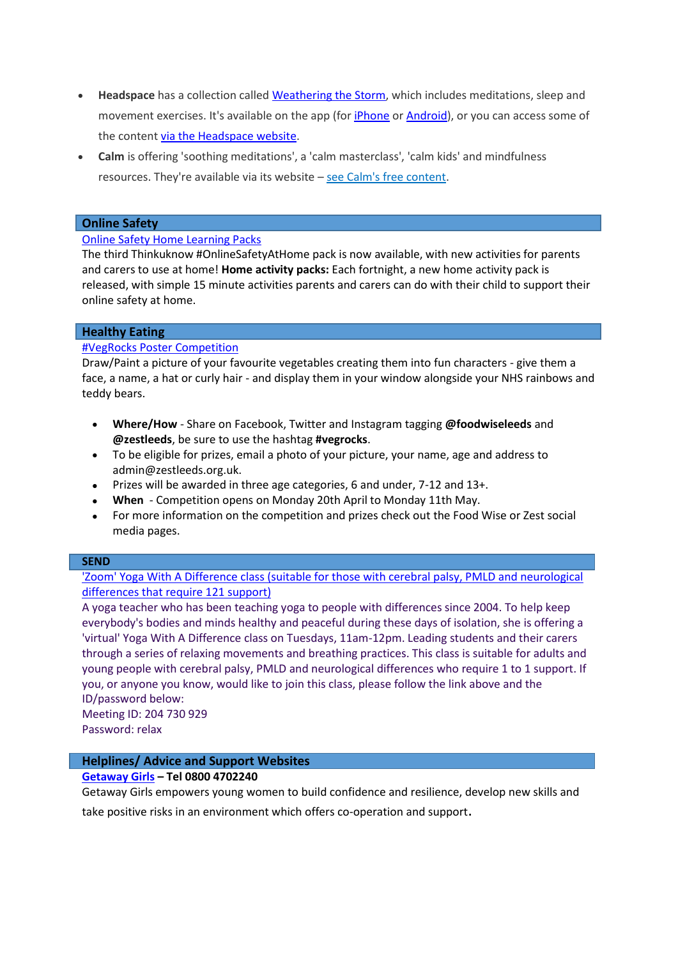- **Headspace** has a collection called [Weathering the Storm,](https://www.headspace.com/covid-19) which includes meditations, sleep and movement exercises. It's available on the app (for *[iPhone](https://apps.apple.com/gb/app/headspace-meditation-sleep/id493145008)* or **Android**), or you can access some of the content [via the Headspace website.](https://www.headspace.com/covid-19)
- **Calm** is offering 'soothing meditations', a 'calm masterclass', 'calm kids' and mindfulness resources. They're available via its website – [see Calm's free content.](https://www.calm.com/blog/take-a-deep-breath)

## **Online Safety**

#### [Online Safety Home Learning Packs](https://www.thinkuknow.co.uk/professionals/our-views/onlinesafetyathome-resources/?utm_source=Thinkuknow&utm_campaign=03f521e658-TUK_ONLINE_SAFETY_AT_HOME_21_04_20&utm_medium=email&utm_term=0_0b54505554-03f521e658-55230421)

The third Thinkuknow #OnlineSafetyAtHome pack is now available, with new activities for parents and carers to use at home! **Home activity packs:** Each fortnight, a new home activity pack is released, with simple 15 minute activities parents and carers can do with their child to support their online safety at home.

#### **Healthy Eating**

#### [#VegRocks Poster Competition](https://twitter.com/foodwiseleeds?lang=en)

Draw/Paint a picture of your favourite vegetables creating them into fun characters - give them a face, a name, a hat or curly hair - and display them in your window alongside your NHS rainbows and teddy bears.

- **Where/How** Share on Facebook, Twitter and Instagram tagging **@foodwiseleeds** and **@zestleeds**, be sure to use the hashtag **#vegrocks**.
- To be eligible for prizes, email a photo of your picture, your name, age and address to admin@zestleeds.org.uk.
- Prizes will be awarded in three age categories, 6 and under, 7-12 and 13+.
- **When** Competition opens on Monday 20th April to Monday 11th May.
- For more information on the competition and prizes check out the Food Wise or Zest social media pages.

#### **SEND**

['Zoom' Yoga With A Difference class \(suitable for those with cerebral palsy, PMLD and neurological](https://zoom.us/j/204730929)  [differences that require 121 support\)](https://zoom.us/j/204730929)

A yoga teacher who has been teaching yoga to people with differences since 2004. To help keep everybody's bodies and minds healthy and peaceful during these days of isolation, she is offering a 'virtual' Yoga With A Difference class on Tuesdays, 11am-12pm. Leading students and their carers through a series of relaxing movements and breathing practices. This class is suitable for adults and young people with cerebral palsy, PMLD and neurological differences who require 1 to 1 support. If you, or anyone you know, would like to join this class, please follow the link above and the ID/password below:

Meeting ID: 204 730 929 Password: relax

## **Helplines/ Advice and Support Websites**

## **[Getaway Girls](https://getawaygirls.co.uk/) – Tel 0800 4702240**

Getaway Girls empowers young women to build confidence and resilience, develop new skills and take positive risks in an environment which offers co-operation and support.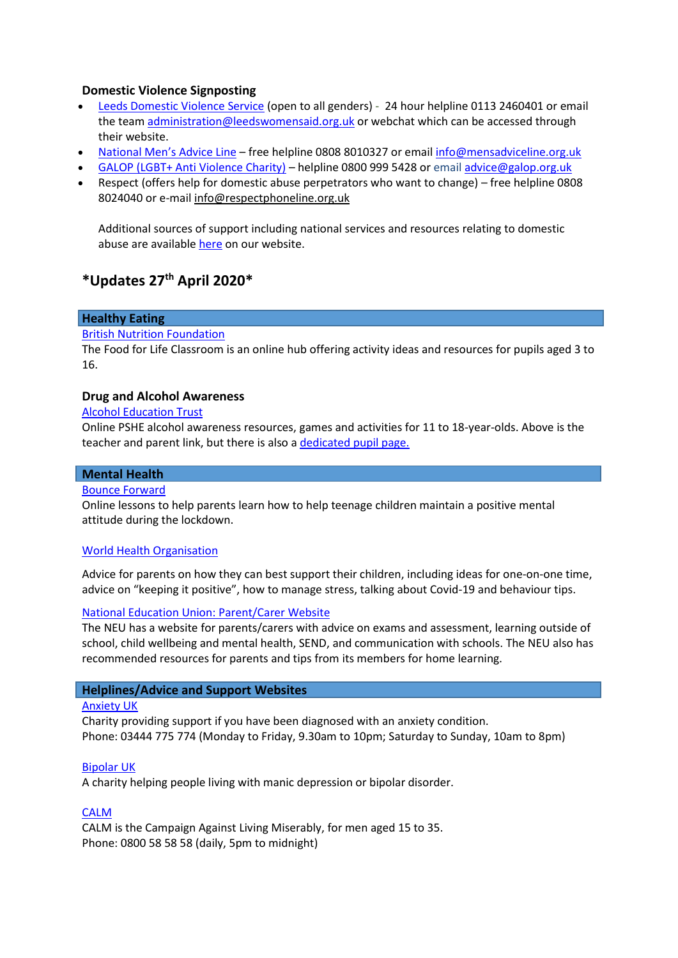## **Domestic Violence Signposting**

- [Leeds Domestic Violence Service](https://www.leeds.gov.uk/domesticviolence) (open to all genders) 24 hour helpline 0113 2460401 or email the tea[m administration@leedswomensaid.org.uk](mailto:administration@leedswomensaid.org.uk) or webchat which can be accessed through their website.
- [National Men's Advice Line](https://mensadviceline.org.uk/) free helpline 0808 8010327 or emai[l info@mensadviceline.org.uk](mailto:info@mensadviceline.org.uk)
- [GALOP \(LGBT+ Anti Violence Charity\)](http://www.galop.org.uk/) helpline 0800 999 5428 or email [advice@galop.org.uk](mailto:advice@galop.org.uk)
- Respect (offers help for domestic abuse perpetrators who want to change) free helpline 0808 8024040 or e-mai[l info@respectphoneline.org.uk](mailto:info@respectphoneline.org.uk)

Additional sources of support including national services and resources relating to domestic abuse are availabl[e here](https://www.leeds.gov.uk/domesticviolence/People-who-are-abused) on our website.

# **\*Updates 27th April 2020\***

## **Healthy Eating**

#### [British Nutrition Foundation](http://www.foodafactoflife.org.uk/whole-school/remote-learning/)

The Food for Life Classroom is an online hub offering activity ideas and resources for pupils aged 3 to 16.

#### **Drug and Alcohol Awareness**

#### [Alcohol Education Trust](https://protect-eu.mimecast.com/s/oE2tC8qmqcjkqnPH1kzIN?domain=alcoholeducationtrust.org)

Online PSHE alcohol awareness resources, games and activities for 11 to 18-year-olds. Above is the teacher and parent link, but there is also [a dedicated pupil page.](https://protect-eu.mimecast.com/s/P4bIC0g4gU2yB6gFW5M-Z?domain=talkaboutalcohol.com)

## **Mental Health**

## [Bounce Forward](https://bounceforward.com/)

Online lessons to help parents learn how to help teenage children maintain a positive mental attitude during the lockdown.

#### [World Health Organisation](http://www.who.int/emergencies/diseases/novel-coronavirus-2019/advice-for-public/healthy-parenting)

Advice for parents on how they can best support their children, including ideas for one-on-one time, advice on "keeping it positive", how to manage stress, talking about Covid-19 and behaviour tips.

#### [National Education Union: Parent/Carer Website](https://coronavirusandschools.org.uk/)

The NEU has a website for parents/carers with advice on exams and assessment, learning outside of school, child wellbeing and mental health, SEND, and communication with schools. The NEU also has recommended resources for parents and tips from its members for home learning.

### **Helplines/Advice and Support Websites**

#### [Anxiety UK](http://www.anxietyuk.org.uk/)

Charity providing support if you have been diagnosed with an anxiety condition. Phone: 03444 775 774 (Monday to Friday, 9.30am to 10pm; Saturday to Sunday, 10am to 8pm)

#### [Bipolar UK](http://www.bipolaruk.org.uk/)

A charity helping people living with manic depression or bipolar disorder.

#### [CALM](http://www.thecalmzone.net/)

CALM is the Campaign Against Living Miserably, for men aged 15 to 35. Phone: 0800 58 58 58 (daily, 5pm to midnight)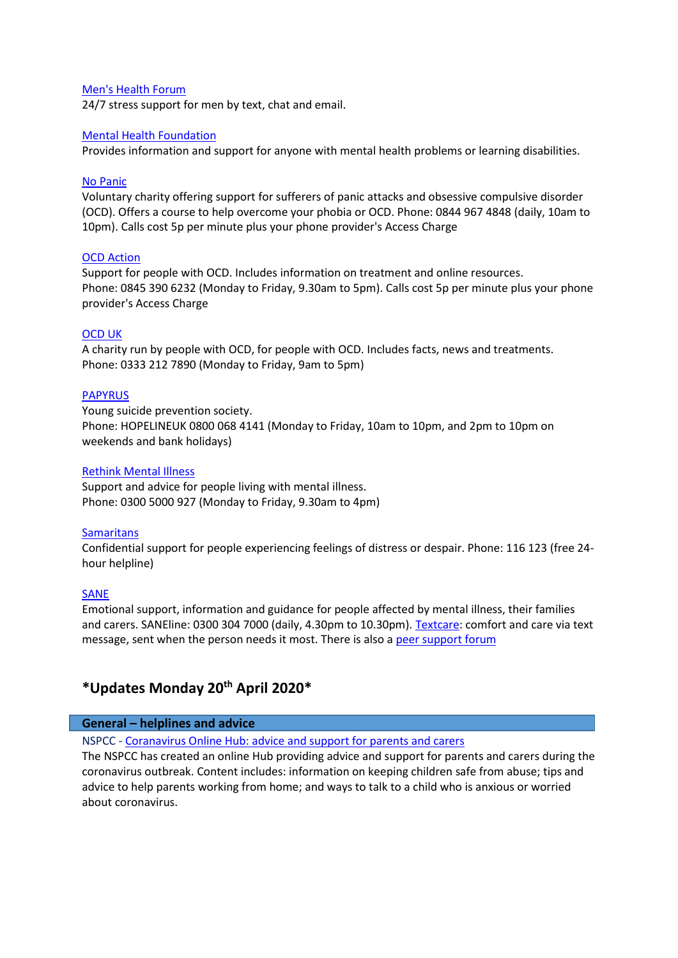#### [Men's Health Forum](https://www.menshealthforum.org.uk/beatstress.uk)

24/7 stress support for men by text, chat and email.

## [Mental Health Foundation](http://www.mentalhealth.org.uk/)

Provides information and support for anyone with mental health problems or learning disabilities.

#### [No Panic](http://www.nopanic.org.uk/)

Voluntary charity offering support for sufferers of panic attacks and obsessive compulsive disorder (OCD). Offers a course to help overcome your phobia or OCD. Phone: 0844 967 4848 (daily, 10am to 10pm). Calls cost 5p per minute plus your phone provider's Access Charge

## OCD [Action](http://www.ocdaction.org.uk/)

Support for people with OCD. Includes information on treatment and online resources. Phone: 0845 390 6232 (Monday to Friday, 9.30am to 5pm). Calls cost 5p per minute plus your phone provider's Access Charge

#### [OCD UK](http://www.ocduk.org/)

A charity run by people with OCD, for people with OCD. Includes facts, news and treatments. Phone: 0333 212 7890 (Monday to Friday, 9am to 5pm)

#### [PAPYRUS](http://www.papyrus-uk.org/)

Young suicide prevention society. Phone: HOPELINEUK 0800 068 4141 (Monday to Friday, 10am to 10pm, and 2pm to 10pm on weekends and bank holidays)

## [Rethink Mental Illness](http://www.rethink.org/)

Support and advice for people living with mental illness. Phone: 0300 5000 927 (Monday to Friday, 9.30am to 4pm)

#### **[Samaritans](http://www.samaritans.org/)**

Confidential support for people experiencing feelings of distress or despair. Phone: 116 123 (free 24 hour helpline)

### [SANE](http://sane.org.uk/)

Emotional support, information and guidance for people affected by mental illness, their families and carers. SANEline: 0300 304 7000 (daily, 4.30pm to 10.30pm). [Textcare:](http://www.sane.org.uk/textcare) comfort and care via text message, sent when the person needs it most. There is also [a peer support forum](http://www.sane.org.uk/supportforum)

# **\*Updates Monday 20th April 2020\***

#### **General – helplines and advice**

NSPCC - [Coranavirus Online Hub: advice and support for parents and carers](http://email.nspcc.org.uk/c/13BDrnkN33FLqVcJvmTCFg90H)

The NSPCC has created an online Hub providing advice and support for parents and carers during the coronavirus outbreak. Content includes: information on keeping children safe from abuse; tips and advice to help parents working from home; and ways to talk to a child who is anxious or worried about coronavirus.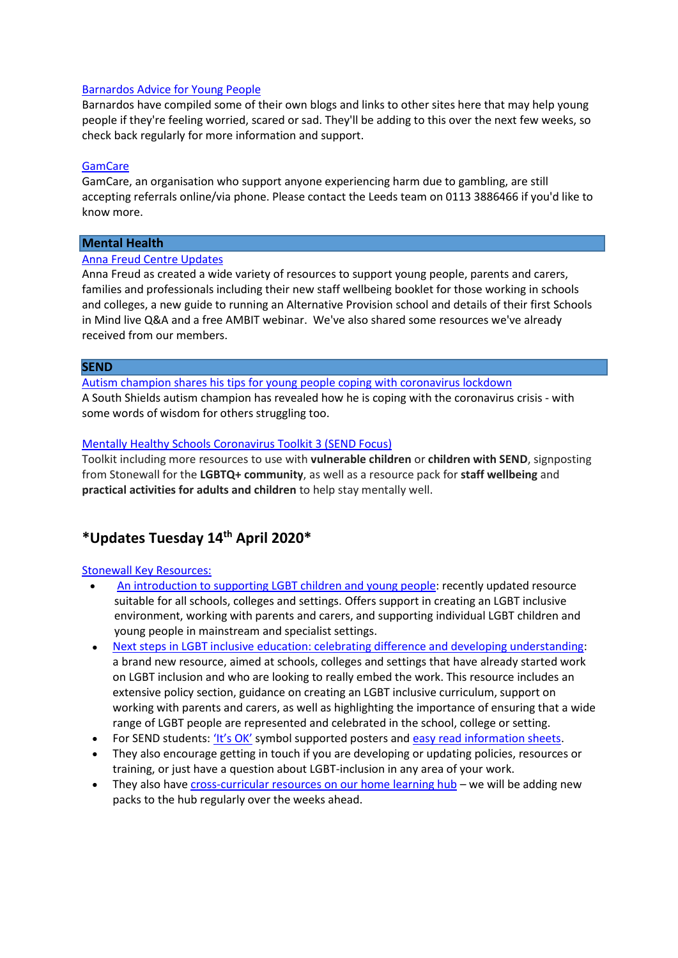### [Barnardos Advice for Young People](http://www.barnardos.org.uk/coronavirus-advice-young-people)

Barnardos have compiled some of their own blogs and links to other sites here that may help young people if they're feeling worried, scared or sad. They'll be adding to this over the next few weeks, so check back regularly for more information and support.

#### **[GamCare](https://www.gamcare.org.uk/get-support/our-treatment-offer/leeds/)**

GamCare, an organisation who support anyone experiencing harm due to gambling, are still accepting referrals online/via phone. Please contact the Leeds team on 0113 3886466 if you'd like to know more.

## **Mental Health**

### [Anna Freud Centre Updates](http://www.annafreud.org/coronavirus)

Anna Freud as created a wide variety of resources to support young people, parents and carers, families and professionals including their new staff wellbeing booklet for those working in schools and colleges, a new guide to running an Alternative Provision school and details of their first Schools in Mind live Q&A and a free AMBIT webinar. We've also shared some resources we've already received from our members.

#### **SEND**

[Autism champion shares his tips for young people coping with coronavirus lockdown](https://www.shieldsgazette.com/health/coronavirus/autism-champion-shares-his-tips-young-people-coping-coronavirus-lockdown-2518277) A South Shields autism champion has revealed how he is coping with the coronavirus crisis - with some words of wisdom for others struggling too.

#### [Mentally Healthy Schools Coronavirus Toolkit 3 \(SEND Focus\)](https://mentallyhealthyschools.us20.list-manage.com/track/click?u=6fc2cf8dfbb1d7af51eb64486&id=bcc3b0c9ed&e=4e2e7a01a1)

Toolkit including more resources to use with **vulnerable children** or **children with SEND**, signposting from Stonewall for the **LGBTQ+ community**, as well as a resource pack for **staff wellbeing** and **practical activities for adults and children** to help stay mentally well.

# **\*Updates Tuesday 14th April 2020\***

#### [Stonewall Key Resources:](https://www.stonewall.org.uk/best-practice-toolkits-and-resources-0)

- [An introduction to supporting LGBT children and young people:](https://www.stonewall.org.uk/resources/introduction-supporting-lgbt-children-and-young-people) recently updated resource suitable for all schools, colleges and settings. Offers support in creating an LGBT inclusive environment, working with parents and carers, and supporting individual LGBT children and young people in mainstream and specialist settings.
- [Next steps in LGBT inclusive education: celebrating difference and developing understanding:](https://www.stonewall.org.uk/resources/next-steps-inclusive-education-celebrating-difference-and-developing-understanding) a brand new resource, aimed at schools, colleges and settings that have already started work on LGBT inclusion and who are looking to really embed the work. This resource includes an extensive policy section, guidance on creating an LGBT inclusive curriculum, support on working with parents and carers, as well as highlighting the importance of ensuring that a wide range of LGBT people are represented and celebrated in the school, college or setting.
- For SEND students: ['It's OK'](http://www.stonewall.org.uk/widgitposters) symbol supported posters an[d easy read information sheets.](https://www.stonewall.org.uk/best-practice-toolkits-and-resources-0)
- They also encourage getting in touch if you are developing or updating policies, resources or training, or just have a question about LGBT-inclusion in any area of your work.
- They also have [cross-curricular resources on our home learning hub](https://www.stonewall.org.uk/home-learning-packs-stonewall) we will be adding new packs to the hub regularly over the weeks ahead.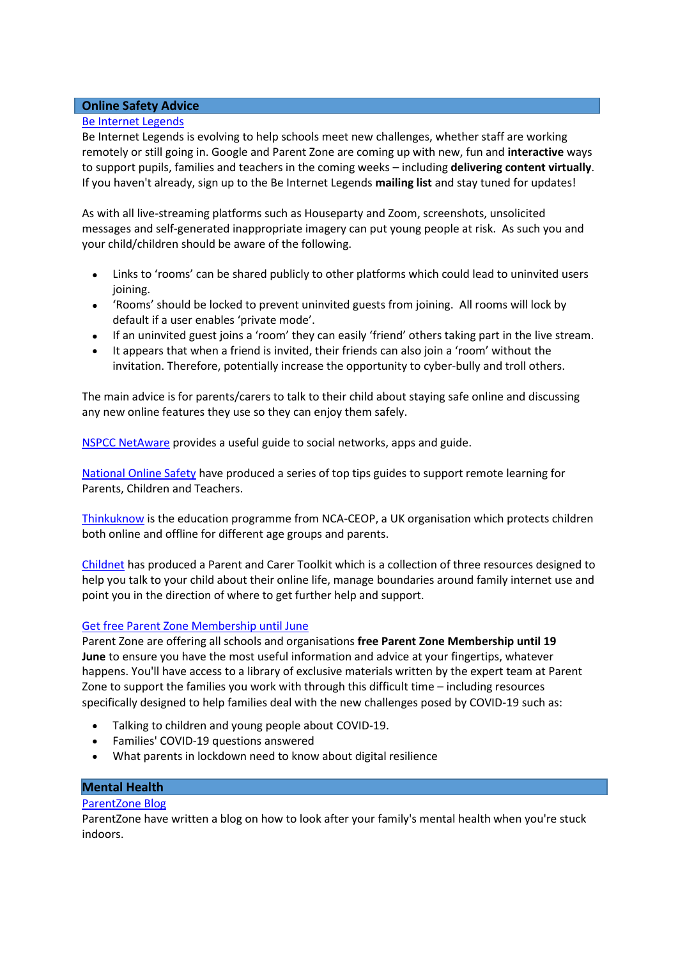## **Online Safety Advice**

## [Be Internet Legends](https://parentzone.us3.list-manage.com/track/click?u=bd227427019036d582c40c448&id=0219902a81&e=9c449edd9e)

Be Internet Legends is evolving to help schools meet new challenges, whether staff are working remotely or still going in. Google and Parent Zone are coming up with new, fun and **interactive** ways to support pupils, families and teachers in the coming weeks – including **delivering content virtually**. If you haven't already, sign up to the Be Internet Legends **mailing list** and stay tuned for updates!

As with all live-streaming platforms such as Houseparty and Zoom, screenshots, unsolicited messages and self-generated inappropriate imagery can put young people at risk. As such you and your child/children should be aware of the following.

- Links to 'rooms' can be shared publicly to other platforms which could lead to uninvited users joining.
- 'Rooms' should be locked to prevent uninvited guests from joining. All rooms will lock by default if a user enables 'private mode'.
- If an uninvited guest joins a 'room' they can easily 'friend' others taking part in the live stream.
- It appears that when a friend is invited, their friends can also join a 'room' without the invitation. Therefore, potentially increase the opportunity to cyber-bully and troll others.

The main advice is for parents/carers to talk to their child about staying safe online and discussing any new online features they use so they can enjoy them safely.

[NSPCC NetAware](https://www.net-aware.org.uk/) provides a useful guide to social networks, apps and guide.

[National Online Safety](https://nationalonlinesafety.com/guides) have produced a series of top tips guides to support remote learning for Parents, Children and Teachers.

[Thinkuknow](https://www.thinkuknow.co.uk/) is the education programme from NCA-CEOP, a UK organisation which protects children both online and offline for different age groups and parents.

[Childnet](https://www.childnet.com/parents-and-carers) has produced a Parent and Carer Toolkit which is a collection of three resources designed to help you talk to your child about their online life, manage boundaries around family internet use and point you in the direction of where to get further help and support.

## Get free [Parent Zone Membership until June](https://parentzone.us3.list-manage.com/track/click?u=bd227427019036d582c40c448&id=da6ca0616c&e=9c449edd9e)

Parent Zone are offering all schools and organisations **free Parent Zone Membership until 19 June** to ensure you have the most useful information and advice at your fingertips, whatever happens. You'll have access to a library of exclusive materials written by the expert team at Parent Zone to support the families you work with through this difficult time – including resources specifically designed to help families deal with the new challenges posed by COVID-19 such as:

- Talking to children and young people about COVID-19.
- Families' COVID-19 questions answered
- What parents in lockdown need to know about digital resilience

## **Mental Health**

## [ParentZone Blog](https://parentzone.org.uk/article/how-look-after-your-family’s-mental-health-when-you’re-stuck-indoors?utm_source=Parent+Zone+Newsletter&utm_campaign=e53736f60f-EMAIL_CAMPAIGN_2020_04_03_10_47&utm_medium=email&utm_term=0_1ee27d9000-e53736f60f-179306881)

ParentZone have written a blog on how to look after your family's mental health when you're stuck indoors.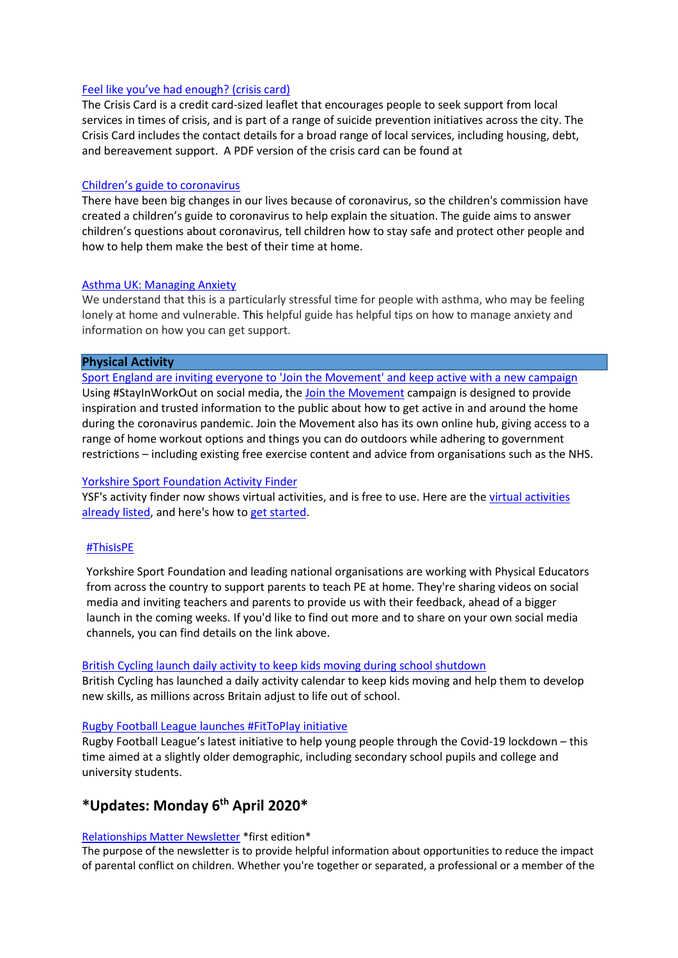## [Feel like you've had enough? \(crisis card\)](http://www.leeds.gov.uk/docs/CrisisCard.pdf)

The Crisis Card is a credit card-sized leaflet that encourages people to seek support from local services in times of crisis, and is part of a range of suicide prevention initiatives across the city. The Crisis Card includes the contact details for a broad range of local services, including housing, debt, and bereavement support. A PDF version of the crisis card can be found at

#### [Children's guide to coronavirus](https://www.childrenscommissioner.gov.uk/publication/childrens-guide-to-coronavirus/)

There have been big changes in our lives because of coronavirus, so the children's commission have created a children's guide to coronavirus to help explain the situation. The guide aims to answer children's questions about coronavirus, tell children how to stay safe and protect other people and how to help them make the best of their time at home.

#### [Asthma UK: Managing Anxiety](https://www.asthma.org.uk/advice/manage-your-asthma/emotional-support/anxiety)

We understand that this is a particularly stressful time for people with asthma, who may be feeling lonely at home and vulnerable. This helpful guide has helpful tips on how to manage anxiety and information on how you can get support.

#### **Physical Activity**

[Sport England are inviting everyone to 'Join the Movement' and](https://yorkshire.sportsuite.co.uk/api/click?e=bndzPTM4NTQmbXNnPTY1NDIxMDAmdXNyPTI2MjM4NiZzYnI9MCZsbms9MTAmdXJsPWh0dHBzJTNBJTJGJTJGd3d3LnNwb3J0ZW5nbGFuZC5vcmclMkZzdGF5aW53b3Jrb3V0) keep active with a new campaign Using #StayInWorkOut on social media, the [Join the Movement](https://yorkshire.sportsuite.co.uk/api/click?e=bndzPTM4NTQmbXNnPTY1NDIxMDAmdXNyPTI2MjM4NiZzYnI9MCZsbms9MTAmdXJsPWh0dHBzJTNBJTJGJTJGd3d3LnNwb3J0ZW5nbGFuZC5vcmclMkZzdGF5aW53b3Jrb3V0) campaign is designed to provide inspiration and trusted information to the public about how to get active in and around the home during the coronavirus pandemic. Join the Movement also has its own online hub, giving access to a range of home workout options and things you can do outdoors while adhering to government restrictions – including existing free exercise content and advice from organisations such as the NHS.

## [Yorkshire Sport Foundation Activity Finder](https://yorkshire.sportsuite.co.uk/activities/activities?type=activity&query=&sport=&radius=50&postcode=LS27+7JQ&virtual=1&view=list)

YSF's activity finder now shows virtual activities, and is free to use. Here are th[e virtual activities](https://yorkshire.sportsuite.co.uk/activities/activities?type=activity&query=&sport=&radius=50&postcode=LS27+7JQ&virtual=1&view=list)  [already listed,](https://yorkshire.sportsuite.co.uk/activities/activities?type=activity&query=&sport=&radius=50&postcode=LS27+7JQ&virtual=1&view=list) and here's how to [get started.](https://yorkshire.sportsuite.co.uk/api/click?e=bndzPTM4NTQmbXNnPTY1NDIxMDAmdXNyPTI2MjM4NiZzYnI9MCZsbms9MTEmdXJsPWh0dHBzJTNBJTJGJTJGeW9ya3NoaXJlLnNwb3J0c3VpdGUuY28udWslMkZhY3Rpdml0aWVzJTJGY3JlYXRl)

## [#ThisIsPE](http://www.yorkshiresport.org/ThisIsPE)

Yorkshire Sport Foundation and leading national organisations are working with Physical Educators from across the country to support parents to teach PE at home. They're sharing videos on social media and inviting teachers and parents to provide us with their feedback, ahead of a bigger launch in the coming weeks. If you'd like to find out more and to share on your own social media channels, you can find details on the link above.

#### [British Cycling launch daily activity to keep kids moving during school shutdown](https://www.britishcycling.org.uk/go-ride/article/20200325-goride-news-We-re-launching-a-daily-activity-to-keep-kids-moving-during-school-shutdown-0)

British Cycling has launched a daily activity calendar to keep kids moving and help them to develop new skills, as millions across Britain adjust to life out of school.

#### [Rugby Football League launches #FitToPlay initiative](https://www.rugby-league.com/article/56610/rugby-football-league-launches-fittoplay-initiative)

Rugby Football League's latest initiative to help young people through the Covid-19 lockdown – this time aimed at a slightly older demographic, including secondary school pupils and college and university students.

# **\*Updates: Monday 6 th April 2020\***

## [Relationships Matter Newsletter](https://www.schoolwellbeing.co.uk/resources/643) \*first edition\*

The purpose of the newsletter is to provide helpful information about opportunities to reduce the impact of parental conflict on children. Whether you're together or separated, a professional or a member of the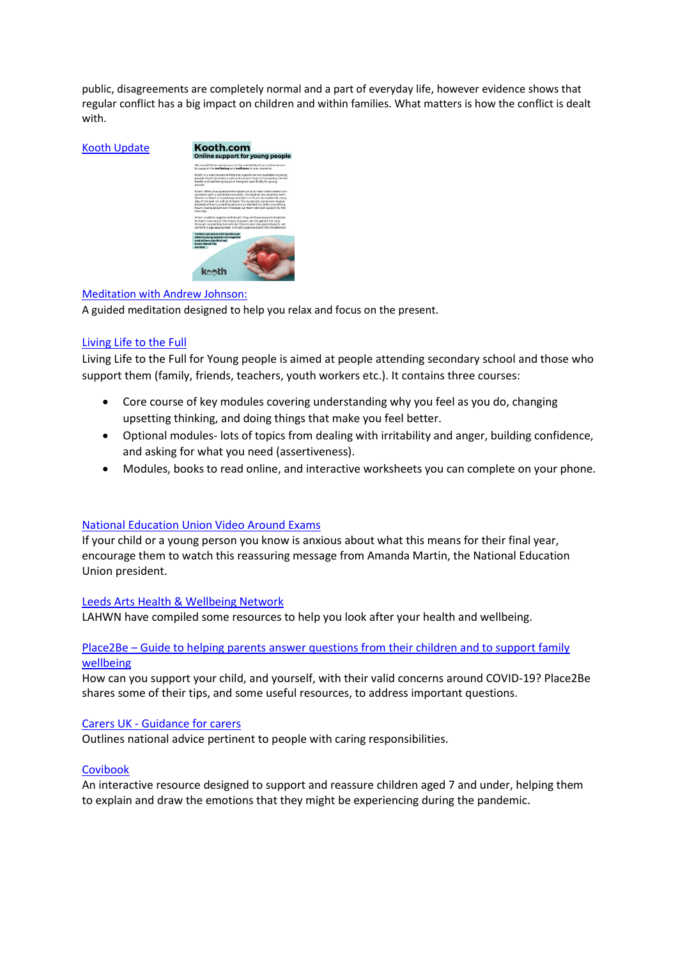public, disagreements are completely normal and a part of everyday life, however evidence shows that regular conflict has a big impact on children and within families. What matters is how the conflict is dealt with.

#### [Kooth Update](file://///netapp04-cifs/lcc017/ELSSI/Health%20and%20Wellbeing%20Service%20Programmes/PROGRAMMES%20&%20PROJECTS/Healthy%20Schools/resource%20materials/COVID-19%20and%20Home%20Learning/kooth.com/)



#### [Meditation with Andrew Johnson:](https://soundcloud.com/withandrewjohnson/free-relax-with-andrew-johnson)

A guided meditation designed to help you relax and focus on the present.

## [Living Life to the Full](https://www.llttfyp.com/corona/)

Living Life to the Full for Young people is aimed at people attending secondary school and those who support them (family, friends, teachers, youth workers etc.). It contains three courses:

- Core course of key modules covering understanding why you feel as you do, changing upsetting thinking, and doing things that make you feel better.
- Optional modules- lots of topics from dealing with irritability and anger, building confidence, and asking for what you need (assertiveness).
- Modules, books to read online, and interactive worksheets you can complete on your phone.

## [National Education Union Video Around Exams](https://www.facebook.com/nationaleducationunion/videos/252327832599481/?link_id=0&can_id=a50a7e23bb140ab489ccd8ddbad1f1db&source=email-cancelled-30th-march-strategy-call-2&email_referrer=email_761304&email_subject=covid-19-what-this-means-for-stop-school-cuts)

If your child or a young person you know is anxious about what this means for their final year, encourage them to watch this reassuring message from Amanda Martin, the National Education Union president.

#### [Leeds Arts Health & Wellbeing Network](https://www.lahwn.co.uk/looking-after-you)

LAHWN have compiled some resources to help you look after your health and wellbeing.

## Place2Be – [Guide to helping parents answer questions](https://www.place2be.org.uk/about-us/news-and-blogs/2020/march/coronavirus-information-for-children/) from their children and to support family [wellbeing](https://www.place2be.org.uk/about-us/news-and-blogs/2020/march/coronavirus-information-for-children/)

How can you support your child, and yourself, with their valid concerns around COVID-19? Place2Be shares some of their tips, and some useful resources, to address important questions.

#### Carers UK - [Guidance for carers](https://www.carersuk.org/help-and-advice/health/looking-after-your-health/coronavirus-covid-19)

Outlines national advice pertinent to people with caring responsibilities.

#### [Covibook](https://www.mindheart.co/descargables)

An interactive resource designed to support and reassure children aged 7 and under, helping them to explain and draw the emotions that they might be experiencing during the pandemic.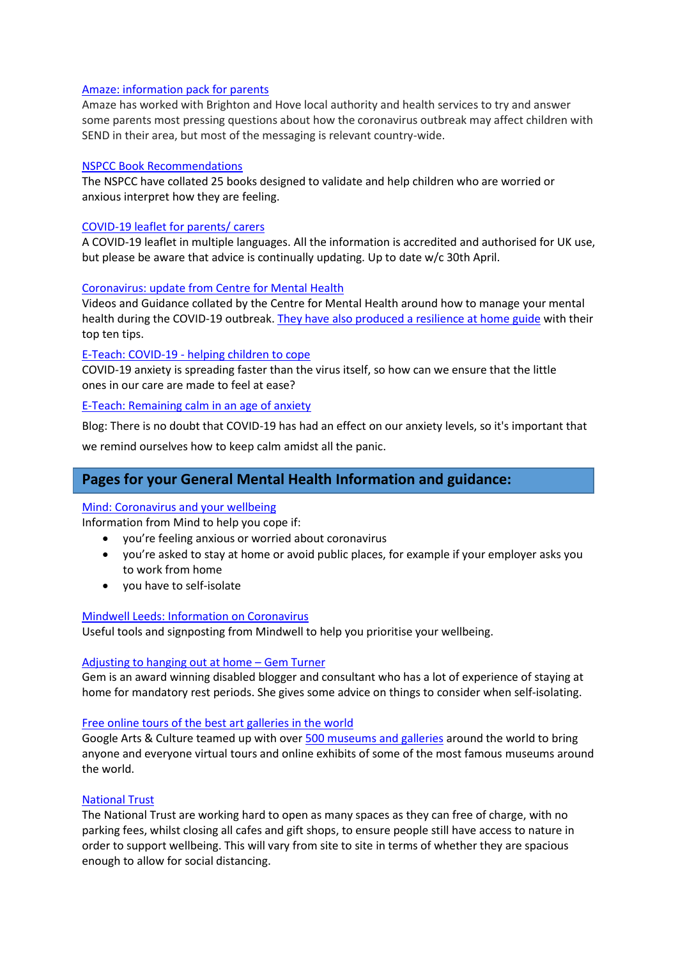## [Amaze: information pack for parents](https://amazesussex.org.uk/faqs-about-the-coronavirus-for-parent-carers-of-children-with-send-brighton-hove/)

Amaze has worked with Brighton and Hove local authority and health services to try and answer some parents most pressing questions about how the coronavirus outbreak may affect children with SEND in their area, but most of the messaging is relevant country-wide.

#### [NSPCC Book Recommendations](https://library.nspcc.org.uk/HeritageScripts/Hapi.dll/retrieve2?CookieCheck=43923.7184154167&SetID=3773524F-40ED-41A5-A9C2-D089337FEE6D&DataSetName=LIVEDATA)

The NSPCC have collated 25 books designed to validate and help children who are worried or anxious interpret how they are feeling.

### [COVID-19 leaflet for parents/ carers](https://www.doctorsoftheworld.org.uk/coronavirus-information/)

A COVID-19 leaflet in multiple languages. All the information is accredited and authorised for UK use, but please be aware that advice is continually updating. Up to date w/c 30th April.

#### [Coronavirus: update from Centre for Mental Health](https://www.centreformentalhealth.org.uk/coronavirus-update)

Videos and Guidance collated by the Centre for Mental Health around how to manage your mental health during the COVID-19 outbreak[. They have also produced a resilience at home guide](https://www.centreformentalhealth.org.uk/sites/default/files/resilience_at_home_guide.pdf) with their top ten tips.

#### E-Teach: COVID-19 - [helping children to cope](https://www.eteach.com/blog/covid-19-anxiety-helping-children-to-cope?utm_source=email&utm_medium=email&utm_campaign=etb2c001+candidate+newsletter+2020+march&dm_i=4UTN,BCWD,14VZR9,18VAE,1)

COVID-19 anxiety is spreading faster than the virus itself, so how can we ensure that the little ones in our care are made to feel at ease?

#### [E-Teach: Remaining calm in an age of anxiety](https://www.eteach.com/blog/remaining-calm-in-an-age-of-anxiety?utm_source=email&utm_medium=email&utm_campaign=etb2c001+candidate+newsletter+2020+march&dm_i=4UTN,BCWD,14VZR9,18VAE,1)

Blog: There is no doubt that COVID-19 has had an effect on our anxiety levels, so it's important that

we remind ourselves how to keep calm amidst all the panic.

# **Pages for your General Mental Health Information and guidance:**

#### [Mind: Coronavirus and your wellbeing](https://www.mind.org.uk/information-support/coronavirus-and-your-wellbeing/?utm_medium=organic&utm_source=twitter&utm_campaign=info&utm_content=coronaviruswellbeing)

Information from Mind to help you cope if:

- you're feeling anxious or worried about coronavirus
- you're asked to stay at home or avoid public places, for example if your employer asks you to work from home
- you have to self-isolate

#### [Mindwell Leeds: Information on Coronavirus](https://www.mindwell-leeds.org.uk/home/information-on-coronavirus)

Useful tools and signposting from Mindwell to help you prioritise your wellbeing.

#### [Adjusting to hanging out at home](https://gemturner.com/adjusting-to-hanging-out-at-home/) – Gem Turner

Gem is an award winning disabled blogger and consultant who has a lot of experience of staying at home for mandatory rest periods. She gives some advice on things to consider when self-isolating.

#### [Free online tours of the best art galleries in the world](https://hellogiggles.com/news/museums-with-virtual-tours?utm_source=facebook.com&utm_medium=social&utm_campaign=social-share-article&utm_content=20200314&utm_term=2627516&sfns=mo)

Google Arts & Culture teamed up with over [500 museums and galleries](https://artsandculture.google.com/partner?hl=en) around the world to bring anyone and everyone virtual tours and online exhibits of some of the most famous museums around the world.

#### [National Trust](https://www.nationaltrust.org.uk/news/our-latest-statement-on-coronavirus-covid-19)

The National Trust are working hard to open as many spaces as they can free of charge, with no parking fees, whilst closing all cafes and gift shops, to ensure people still have access to nature in order to support wellbeing. This will vary from site to site in terms of whether they are spacious enough to allow for social distancing.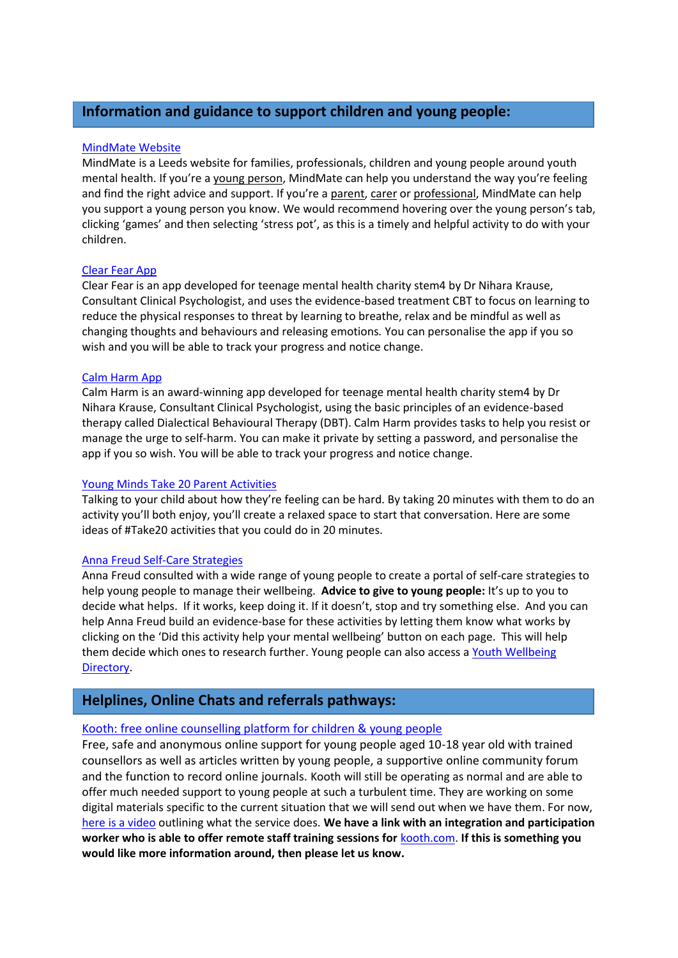# **Information and guidance to support children and young people:**

## [MindMate Website](https://mindmate.org.uk/)

MindMate is a Leeds website for families, professionals, children and young people around youth mental health. If you're a young [person](http://mindmate.org.uk/im-a-young-person/), MindMate can help you understand the way you're feeling and find the right advice and support. If you're a [parent, carer](http://mindmate.org.uk/im-a-parent-or-carer/) or [professional,](http://mindmate.org.uk/i-work-with-young-people/) MindMate can help you support a young person you know. We would recommend hovering over the young person's tab, clicking 'games' and then selecting 'stress pot', as this is a timely and helpful activity to do with your children.

## [Clear Fear App](https://vimeo.com/310537935)

Clear Fear is an app developed for teenage mental health charity stem4 by Dr Nihara Krause, Consultant Clinical Psychologist, and uses the evidence-based treatment CBT to focus on learning to reduce the physical responses to threat by learning to breathe, relax and be mindful as well as changing thoughts and behaviours and releasing emotions*.* You can personalise the app if you so wish and you will be able to track your progress and notice change.

## [Calm Harm App](https://www.youtube.com/watch?v=JDgdXjEoB2Q)

Calm Harm is an award-winning app developed for teenage mental health charity stem4 by Dr Nihara Krause, Consultant Clinical Psychologist, using the basic principles of an evidence-based therapy called Dialectical Behavioural Therapy (DBT). Calm Harm provides tasks to help you resist or manage the urge to self-harm. You can make it private by setting a password, and personalise the app if you so wish. You will be able to track your progress and notice change.

## [Young Minds Take 20 Parent Activities](https://youngminds.org.uk/starting-a-conversation-with-your-child/20-activities-for-20-minutes/)

Talking to your child about how they're feeling can be hard. By taking 20 minutes with them to do an activity you'll both enjoy, you'll create a relaxed space to start that conversation. Here are some ideas of #Take20 activities that you could do in 20 minutes.

## Anna Freud [Self-Care Strategies](https://www.annafreud.org/on-my-mind/self-care/)

Anna Freud consulted with a wide range of young people to create a portal of self-care strategies to help young people to manage their wellbeing. **Advice to give to young people:** It's up to you to decide what helps. If it works, keep doing it. If it doesn't, stop and try something else. And you can help Anna Freud build an evidence-base for these activities by letting them know what works by clicking on the 'Did this activity help your mental wellbeing' button on each page. This will help them decide which ones to research further. Young people can also access a Youth Wellbeing [Directory.](https://www.annafreud.org/on-my-mind/youth-wellbeing/)

# **Helplines, Online Chats and referrals pathways:**

## [Kooth: free online counselling platform for children & young people](https://www.kooth.com/)

Free, safe and anonymous online support for young people aged 10-18 year old with trained counsellors as well as articles written by young people, a supportive online community forum and the function to record online journals. Kooth will still be operating as normal and are able to offer much needed support to young people at such a turbulent time. They are working on some digital materials specific to the current situation that we will send out when we have them. For now, [here is a video](https://vimeo.com/318731977/a9f32c87de) outlining what the service does. **We have a link with an integration and participation worker who is able to offer remote staff training sessions for** [kooth.com.](http://kooth.com/) **If this is something you would like more information around, then please let us know.**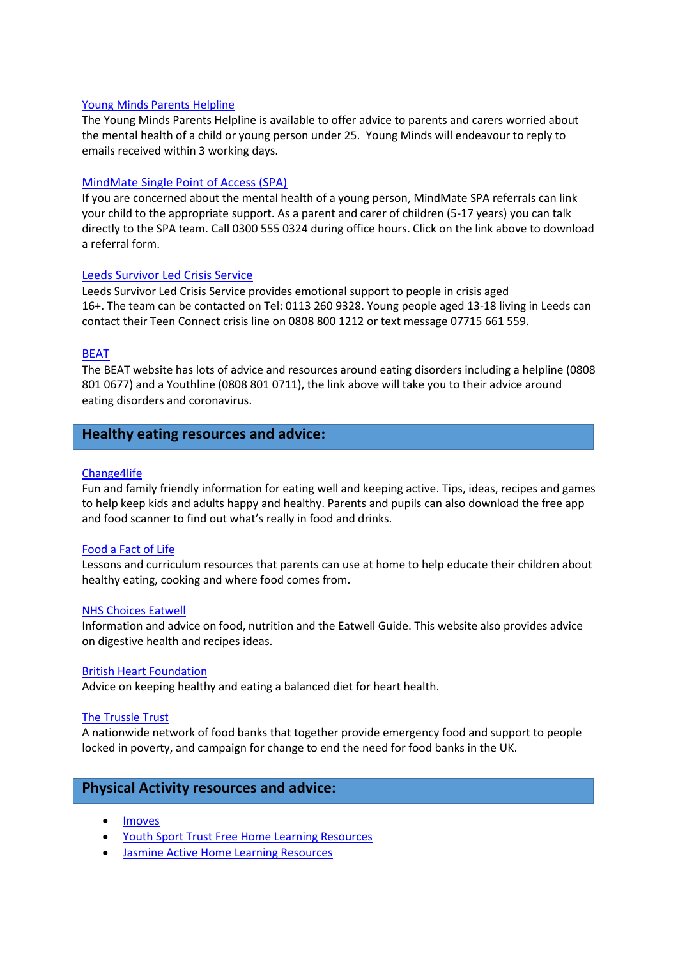### [Young Minds Parents Helpline](https://youngminds.org.uk/contact-us/parents-helpline-enquiries/)

The Young Minds Parents Helpline is available to offer advice to parents and carers worried about the mental health of a child or young person under 25. Young Minds will endeavour to reply to emails received within 3 working days.

#### [MindMate Single Point of Access \(SPA\)](https://www.mindmate.org.uk/im-a-professional/leeds-mindmate-single-point-access/)

If you are concerned about the mental health of a young person, MindMate SPA referrals can link your child to the appropriate support. As a parent and carer of children (5-17 years) you can talk directly to the SPA team. Call 0300 555 0324 during office hours. Click on the link above to download a referral form.

#### [Leeds Survivor Led Crisis Service](https://www.lslcs.org.uk/)

Leeds Survivor Led Crisis Service provides emotional support to people in crisis aged 16+. The team can be contacted on Tel: 0113 260 9328. Young people aged 13-18 living in Leeds can contact their Teen Connect crisis line on 0808 800 1212 or text message 07715 661 559.

#### [BEAT](https://www.beateatingdisorders.org.uk/coronavirus)

The BEAT website has lots of advice and resources around eating disorders including a helpline (0808 801 0677) and a Youthline (0808 801 0711), the link above will take you to their advice around eating disorders and coronavirus.

## **Healthy eating resources and advice:**

#### [Change4life](https://www.nhs.uk/change4life)

Fun and family friendly information for eating well and keeping active. Tips, ideas, recipes and games to help keep kids and adults happy and healthy. Parents and pupils can also download the free app and food scanner to find out what's really in food and drinks.

### [Food a Fact of Life](https://www.foodafactoflife.org.uk/)

Lessons and curriculum resources that parents can use at home to help educate their children about healthy eating, cooking and where food comes from.

#### [NHS Choices Eatwell](https://www.nhs.uk/live-well/eat-well/)

Information and advice on food, nutrition and the Eatwell Guide. This website also provides advice on digestive health and recipes ideas.

#### [British Heart Foundation](https://www.bhf.org.uk/informationsupport/support/healthy-living/healthy-eating)

Advice on keeping healthy and eating a balanced diet for heart health.

#### [The Trussle Trust](https://www.trusselltrust.org/what-we-do/)

A nationwide network of food banks that together provide emergency food and support to people locked in poverty, and campaign for change to end the need for food banks in the UK.

## **Physical Activity resources and advice:**

- [Imoves](https://imoves.com/)
- [Youth Sport Trust Free Home Learning Resources](https://www.youthsporttrust.org/free-home-learning-resources)
- [Jasmine Active Home](https://jasmineactive.com/news/home-learning-resources/) Learning Resources